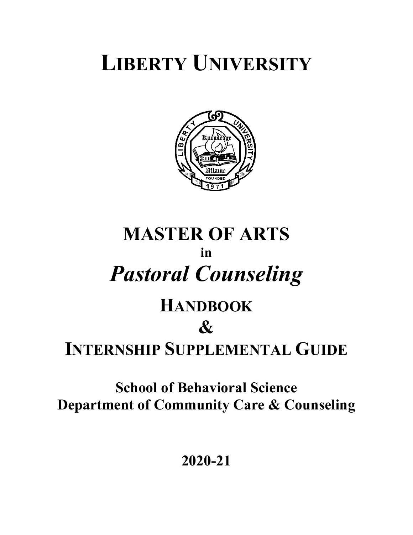# **LIBERTY UNIVERSITY**



# **MASTER OF ARTS in** *Pastoral Counseling*

# **HANDBOOK &**

# **INTERNSHIP SUPPLEMENTAL GUIDE**

**School of Behavioral Science Department of Community Care & Counseling**

**2020-21**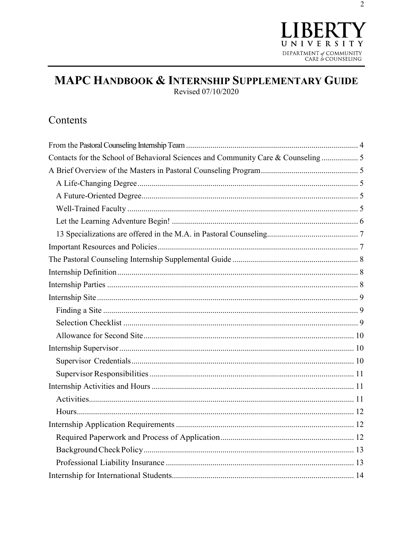

# MAPC HANDBOOK & INTERNSHIP SUPPLEMENTARY GUIDE Revised 07/10/2020

# Contents

| Contacts for the School of Behavioral Sciences and Community Care & Counseling 5 |  |
|----------------------------------------------------------------------------------|--|
|                                                                                  |  |
|                                                                                  |  |
|                                                                                  |  |
|                                                                                  |  |
|                                                                                  |  |
|                                                                                  |  |
|                                                                                  |  |
|                                                                                  |  |
|                                                                                  |  |
|                                                                                  |  |
|                                                                                  |  |
|                                                                                  |  |
|                                                                                  |  |
|                                                                                  |  |
|                                                                                  |  |
|                                                                                  |  |
|                                                                                  |  |
|                                                                                  |  |
|                                                                                  |  |
|                                                                                  |  |
|                                                                                  |  |
|                                                                                  |  |
|                                                                                  |  |
|                                                                                  |  |
|                                                                                  |  |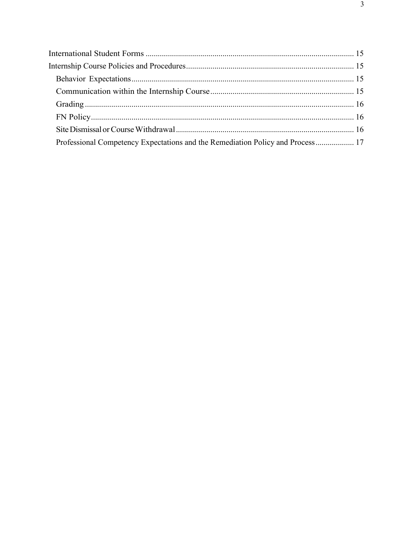| Professional Competency Expectations and the Remediation Policy and Process 17 |  |
|--------------------------------------------------------------------------------|--|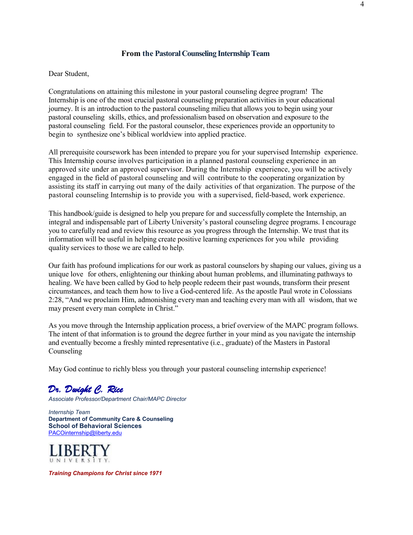#### **From the Pastoral Counseling Internship Team**

<span id="page-3-0"></span>Dear Student,

Congratulations on attaining this milestone in your pastoral counseling degree program! The Internship is one of the most crucial pastoral counseling preparation activities in your educational journey. It is an introduction to the pastoral counseling milieu that allows you to begin using your pastoral counseling skills, ethics, and professionalism based on observation and exposure to the pastoral counseling field. For the pastoral counselor, these experiences provide an opportunity to begin to synthesize one's biblical worldview into applied practice.

All prerequisite coursework has been intended to prepare you for your supervised Internship experience. This Internship course involves participation in a planned pastoral counseling experience in an approved site under an approved supervisor. During the Internship experience, you will be actively engaged in the field of pastoral counseling and will contribute to the cooperating organization by assisting its staff in carrying out many of the daily activities of that organization. The purpose of the pastoral counseling Internship is to provide you with a supervised, field-based, work experience.

This handbook/guide is designed to help you prepare for and successfully complete the Internship, an integral and indispensable part of Liberty University's pastoral counseling degree programs. I encourage you to carefully read and review this resource as you progress through the Internship. We trust that its information will be useful in helping create positive learning experiences for you while providing quality services to those we are called to help.

Our faith has profound implications for our work as pastoral counselors by shaping our values, giving us a unique love for others, enlightening our thinking about human problems, and illuminating pathways to healing. We have been called by God to help people redeem their past wounds, transform their present circumstances, and teach them how to live a God-centered life. As the apostle Paul wrote in Colossians 2:28, "And we proclaim Him, admonishing every man and teaching every man with all wisdom, that we may present every man complete in Christ."

As you move through the Internship application process, a brief overview of the MAPC program follows. The intent of that information is to ground the degree further in your mind as you navigate the internship and eventually become a freshly minted representative (i.e., graduate) of the Masters in Pastoral Counseling

May God continue to richly bless you through your pastoral counseling internship experience!

# *Dr. Dwight C. Rice*

*Associate Professor/Department Chair/MAPC Director*

*Internship Team* **Department of Community Care & Counseling****School of Behavioral Sciences**  [PACOinternship@liberty.edu](mailto:PACOinternship@liberty.edu)



*Training Champions for Christ since 1971*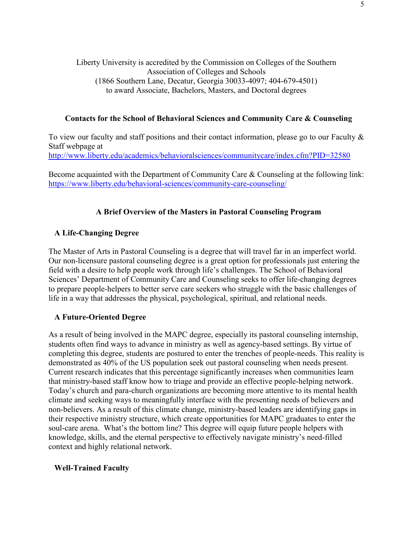# Liberty University is accredited by the Commission on Colleges of the Southern Association of Colleges and Schools (1866 Southern Lane, Decatur, Georgia 30033-4097; 404-679-4501) to award Associate, Bachelors, Masters, and Doctoral degrees

# <span id="page-4-0"></span>**Contacts for the School of Behavioral Sciences and Community Care & Counseling**

To view our faculty and staff positions and their contact information, please go to our Faculty & Staff webpage at <http://www.liberty.edu/academics/behavioralsciences/communitycare/index.cfm?PID=32580>

Become acquainted with the Department of Community Care & Counseling at the following link: <https://www.liberty.edu/behavioral-sciences/community-care-counseling/>

# **A Brief Overview of the Masters in Pastoral Counseling Program**

# <span id="page-4-2"></span><span id="page-4-1"></span>**A Life-Changing Degree**

The Master of Arts in Pastoral Counseling is a degree that will travel far in an imperfect world. Our non-licensure pastoral counseling degree is a great option for professionals just entering the field with a desire to help people work through life's challenges. The School of Behavioral Sciences' Department of Community Care and Counseling seeks to offer life-changing degrees to prepare people-helpers to better serve care seekers who struggle with the basic challenges of life in a way that addresses the physical, psychological, spiritual, and relational needs.

# <span id="page-4-3"></span>**A Future-Oriented Degree**

As a result of being involved in the MAPC degree, especially its pastoral counseling internship, students often find ways to advance in ministry as well as agency-based settings. By virtue of completing this degree, students are postured to enter the trenches of people-needs. This reality is demonstrated as 40% of the US population seek out pastoral counseling when needs present. Current research indicates that this percentage significantly increases when communities learn that ministry-based staff know how to triage and provide an effective people-helping network. Today's church and para-church organizations are becoming more attentive to its mental health climate and seeking ways to meaningfully interface with the presenting needs of believers and non-believers. As a result of this climate change, ministry-based leaders are identifying gaps in their respective ministry structure, which create opportunities for MAPC graduates to enter the soul-care arena. What's the bottom line? This degree will equip future people helpers with knowledge, skills, and the eternal perspective to effectively navigate ministry's need-filled context and highly relational network.

# <span id="page-4-4"></span>**Well-Trained Faculty**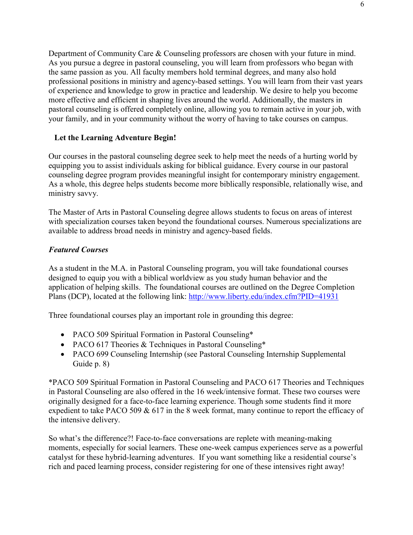Department of Community Care & Counseling professors are chosen with your future in mind. As you pursue a degree in pastoral counseling, you will learn from professors who began with the same passion as you. All faculty members hold terminal degrees, and many also hold professional positions in ministry and agency-based settings. You will learn from their vast years of experience and knowledge to grow in practice and leadership. We desire to help you become more effective and efficient in shaping lives around the world. Additionally, the masters in pastoral counseling is offered completely online, allowing you to remain active in your job, with your family, and in your community without the worry of having to take courses on campus.

# <span id="page-5-0"></span>**Let the Learning Adventure Begin!**

Our courses in the pastoral counseling degree seek to help meet the needs of a hurting world by equipping you to assist individuals asking for biblical guidance. Every course in our pastoral counseling degree program provides meaningful insight for contemporary ministry engagement. As a whole, this degree helps students become more biblically responsible, relationally wise, and ministry savvy.

The Master of Arts in Pastoral Counseling degree allows students to focus on areas of interest with specialization courses taken beyond the foundational courses. Numerous specializations are available to address broad needs in ministry and agency-based fields.

# *Featured Courses*

As a student in the M.A. in Pastoral Counseling program, you will take foundational courses designed to equip you with a biblical worldview as you study human behavior and the application of helping skills. The foundational courses are outlined on the Degree Completion Plans (DCP), located at the following link:<http://www.liberty.edu/index.cfm?PID=41931>

Three foundational courses play an important role in grounding this degree:

- PACO 509 Spiritual Formation in Pastoral Counseling\*
- PACO 617 Theories & Techniques in Pastoral Counseling\*
- PACO 699 Counseling Internship (see Pastoral Counseling Internship Supplemental Guide p. 8)

\*PACO 509 Spiritual Formation in Pastoral Counseling and PACO 617 Theories and Techniques in Pastoral Counseling are also offered in the 16 week/intensive format. These two courses were originally designed for a face-to-face learning experience. Though some students find it more expedient to take PACO 509 & 617 in the 8 week format, many continue to report the efficacy of the intensive delivery.

So what's the difference?! Face-to-face conversations are replete with meaning-making moments, especially for social learners. These one-week campus experiences serve as a powerful catalyst for these hybrid-learning adventures. If you want something like a residential course's rich and paced learning process, consider registering for one of these intensives right away!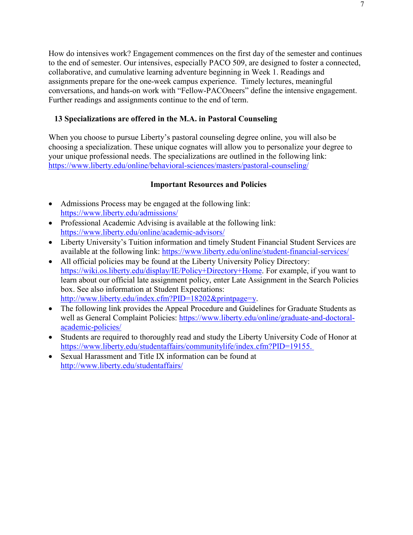How do intensives work? Engagement commences on the first day of the semester and continues to the end of semester. Our intensives, especially PACO 509, are designed to foster a connected, collaborative, and cumulative learning adventure beginning in Week 1. Readings and assignments prepare for the one-week campus experience. Timely lectures, meaningful conversations, and hands-on work with "Fellow-PACOneers" define the intensive engagement. Further readings and assignments continue to the end of term.

# <span id="page-6-0"></span>**13 Specializations are offered in the M.A. in Pastoral Counseling**

When you choose to pursue Liberty's pastoral counseling degree online, you will also be choosing a specialization. These unique cognates will allow you to personalize your degree to your unique professional needs. The specializations are outlined in the following link: <https://www.liberty.edu/online/behavioral-sciences/masters/pastoral-counseling/>

#### **Important Resources and Policies**

- <span id="page-6-1"></span>• Admissions Process may be engaged at the following link: <https://www.liberty.edu/admissions/>
- Professional Academic Advising is available at the following link: <https://www.liberty.edu/online/academic-advisors/>
- Liberty University's Tuition information and timely Student Financial Student Services are available at the following link:<https://www.liberty.edu/online/student-financial-services/>
- All official policies may be found at the Liberty University Policy Directory: [https://wiki.os.liberty.edu/display/IE/Policy+Directory+Home.](https://wiki.os.liberty.edu/display/IE/Policy+Directory+Home) For example, if you want to learn about our official late assignment policy, enter Late Assignment in the Search Policies box. See also information at Student Expectations: [http://www.liberty.edu/index.cfm?PID=18202&printpage=y.](http://www.liberty.edu/index.cfm?PID=18202&printpage=y)
- The following link provides the Appeal Procedure and Guidelines for Graduate Students as well as General Complaint Policies: [https://www.liberty.edu/online/graduate-and-doctoral](https://www.liberty.edu/online/graduate-and-doctoral-academic-policies/)[academic-policies/](https://www.liberty.edu/online/graduate-and-doctoral-academic-policies/)
- Students are required to thoroughly read and study the Liberty University Code of Honor at [https://www.liberty.edu/studentaffairs/communitylife/index.cfm?PID=19155.](https://www.liberty.edu/studentaffairs/communitylife/index.cfm?PID=19155)
- Sexual Harassment and Title IX information can be found at <http://www.liberty.edu/studentaffairs/>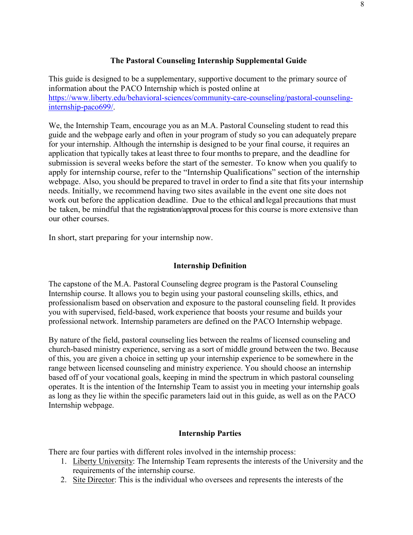# **The Pastoral Counseling Internship Supplemental Guide**

<span id="page-7-0"></span>This guide is designed to be a supplementary, supportive document to the primary source of information about the PACO Internship which is posted online at [https://www.liberty.edu/behavioral-sciences/community-care-counseling/pastoral-counseling](https://www.liberty.edu/behavioral-sciences/community-care-counseling/pastoral-counseling-internship-paco699/)[internship-paco699/.](https://www.liberty.edu/behavioral-sciences/community-care-counseling/pastoral-counseling-internship-paco699/)

We, the Internship Team, encourage you as an M.A. Pastoral Counseling student to read this guide and the webpage early and often in your program of study so you can adequately prepare for your internship. Although the internship is designed to be your final course, it requires an application that typically takes at least three to four months to prepare, and the deadline for submission is several weeks before the start of the semester. To know when you qualify to apply for internship course, refer to the "Internship Qualifications" section of the internship webpage. Also, you should be prepared to travel in order to find a site that fits your internship needs. Initially, we recommend having two sites available in the event one site does not work out before the application deadline. Due to the ethical and legal precautions that must be taken, be mindful that the registration/approval process for this course is more extensive than our other courses.

In short, start preparing for your internship now.

### **Internship Definition**

<span id="page-7-1"></span>The capstone of the M.A. Pastoral Counseling degree program is the Pastoral Counseling Internship course. It allows you to begin using your pastoral counseling skills, ethics, and professionalism based on observation and exposure to the pastoral counseling field. It provides you with supervised, field-based, work experience that boosts your resume and builds your professional network. Internship parameters are defined on the PACO Internship webpage.

By nature of the field, pastoral counseling lies between the realms of licensed counseling and church-based ministry experience, serving as a sort of middle ground between the two. Because of this, you are given a choice in setting up your internship experience to be somewhere in the range between licensed counseling and ministry experience. You should choose an internship based off of your vocational goals, keeping in mind the spectrum in which pastoral counseling operates. It is the intention of the Internship Team to assist you in meeting your internship goals as long as they lie within the specific parameters laid out in this guide, as well as on the PACO Internship webpage.

#### **Internship Parties**

<span id="page-7-2"></span>There are four parties with different roles involved in the internship process:

- 1. Liberty University: The Internship Team represents the interests of the University and the requirements of the internship course.
- 2. Site Director: This is the individual who oversees and represents the interests of the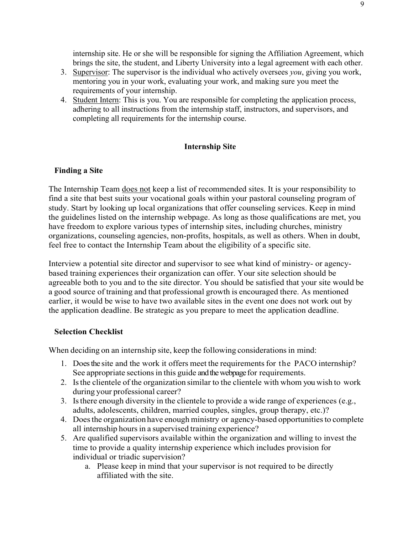internship site. He or she will be responsible for signing the Affiliation Agreement, which brings the site, the student, and Liberty University into a legal agreement with each other.

- 3. Supervisor: The supervisor is the individual who actively oversees *you*, giving you work, mentoring you in your work, evaluating your work, and making sure you meet the requirements of your internship.
- 4. Student Intern: This is you. You are responsible for completing the application process, adhering to all instructions from the internship staff, instructors, and supervisors, and completing all requirements for the internship course.

#### **Internship Site**

#### <span id="page-8-1"></span><span id="page-8-0"></span>**Finding a Site**

The Internship Team does not keep a list of recommended sites. It is your responsibility to find a site that best suits your vocational goals within your pastoral counseling program of study. Start by looking up local organizations that offer counseling services. Keep in mind the guidelines listed on the internship webpage. As long as those qualifications are met, you have freedom to explore various types of internship sites, including churches, ministry organizations, counseling agencies, non-profits, hospitals, as well as others. When in doubt, feel free to contact the Internship Team about the eligibility of a specific site.

Interview a potential site director and supervisor to see what kind of ministry- or agencybased training experiences their organization can offer. Your site selection should be agreeable both to you and to the site director. You should be satisfied that your site would be a good source of training and that professional growth is encouraged there. As mentioned earlier, it would be wise to have two available sites in the event one does not work out by the application deadline. Be strategic as you prepare to meet the application deadline.

#### <span id="page-8-2"></span>**Selection Checklist**

When deciding on an internship site, keep the following considerations in mind:

- 1. Does the site and the work it offers meet the requirementsfor the PACO internship? See appropriate sections in this guide and the webpage for requirements.
- 2. Isthe clientele of the organization similar to the clientele with whom you wish to work during your professional career?
- 3. Isthere enough diversity in the clientele to provide a wide range of experiences (e.g., adults, adolescents, children, married couples, singles, group therapy, etc.)?
- 4. Does the organization have enough ministry or agency-based opportunities to complete all internship hours in a supervised training experience?
- 5. Are qualified supervisors available within the organization and willing to invest the time to provide a quality internship experience which includes provision for individual or triadic supervision?
	- a. Please keep in mind that your supervisor is not required to be directly affiliated with the site.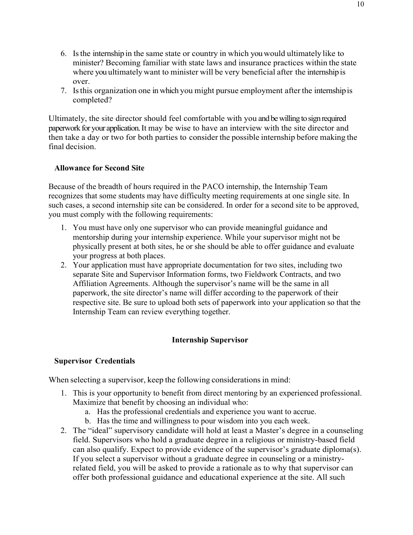- 6. Isthe internship in the same state or country in which you would ultimately like to minister? Becoming familiar with state laws and insurance practices within the state where you ultimately want to minister will be very beneficial after the internship is over.
- 7. Isthis organization one in which you might pursue employment after the internshipis completed?

Ultimately, the site director should feel comfortable with you and be willing to sign required paperwork for your application. It may be wise to have an interview with the site director and then take a day or two for both parties to consider the possible internship before making the final decision.

# <span id="page-9-0"></span>**Allowance for Second Site**

Because of the breadth of hours required in the PACO internship, the Internship Team recognizes that some students may have difficulty meeting requirements at one single site. In such cases, a second internship site can be considered. In order for a second site to be approved, you must comply with the following requirements:

- 1. You must have only one supervisor who can provide meaningful guidance and mentorship during your internship experience. While your supervisor might not be physically present at both sites, he or she should be able to offer guidance and evaluate your progress at both places.
- 2. Your application must have appropriate documentation for two sites, including two separate Site and Supervisor Information forms, two Fieldwork Contracts, and two Affiliation Agreements. Although the supervisor's name will be the same in all paperwork, the site director's name will differ according to the paperwork of their respective site. Be sure to upload both sets of paperwork into your application so that the Internship Team can review everything together.

# **Internship Supervisor**

# <span id="page-9-2"></span><span id="page-9-1"></span>**Supervisor Credentials**

When selecting a supervisor, keep the following considerations in mind:

- 1. This is your opportunity to benefit from direct mentoring by an experienced professional. Maximize that benefit by choosing an individual who:
	- a. Has the professional credentials and experience you want to accrue.
	- b. Has the time and willingness to pour wisdom into you each week.
- 2. The "ideal" supervisory candidate will hold at least a Master's degree in a counseling field. Supervisors who hold a graduate degree in a religious or ministry-based field can also qualify. Expect to provide evidence of the supervisor's graduate diploma(s). If you select a supervisor without a graduate degree in counseling or a ministryrelated field, you will be asked to provide a rationale as to why that supervisor can offer both professional guidance and educational experience at the site. All such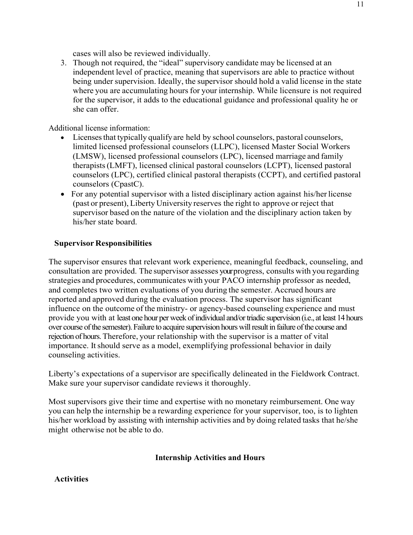cases will also be reviewed individually.

3. Though not required, the "ideal" supervisory candidate may be licensed at an independent level of practice, meaning that supervisors are able to practice without being under supervision. Ideally, the supervisor should hold a valid license in the state where you are accumulating hours for your internship. While licensure is not required for the supervisor, it adds to the educational guidance and professional quality he or she can offer.

Additional license information:

- Licenses that typically qualify are held by school counselors, pastoral counselors, limited licensed professional counselors (LLPC), licensed Master Social Workers (LMSW), licensed professional counselors (LPC), licensed marriage and family therapists(LMFT), licensed clinical pastoral counselors (LCPT), licensed pastoral counselors (LPC), certified clinical pastoral therapists (CCPT), and certified pastoral counselors (CpastC).
- For any potential supervisor with a listed disciplinary action against his/her license (past or present), Liberty University reserves the right to approve or reject that supervisor based on the nature of the violation and the disciplinary action taken by his/her state board.

#### <span id="page-10-0"></span>**Supervisor Responsibilities**

The supervisor ensures that relevant work experience, meaningful feedback, counseling, and consultation are provided. The supervisor assesses your progress, consults with you regarding strategies and procedures, communicates with your PACO internship professor as needed, and completes two written evaluations of you during the semester. Accrued hours are reported and approved during the evaluation process. The supervisor has significant influence on the outcome of the ministry- or agency-based counseling experience and must provide you with at least one hour per week of individual and/or triadic supervision (i.e., at least 14 hours over course of the semester).Failure to acquire supervision hourswill result in failure of the course and rejection of hours. Therefore, your relationship with the supervisor is a matter of vital importance. It should serve as a model, exemplifying professional behavior in daily counseling activities.

Liberty's expectations of a supervisor are specifically delineated in the Fieldwork Contract. Make sure your supervisor candidate reviews it thoroughly.

Most supervisors give their time and expertise with no monetary reimbursement. One way you can help the internship be a rewarding experience for your supervisor, too, is to lighten his/her workload by assisting with internship activities and by doing related tasks that he/she might otherwise not be able to do.

#### **Internship Activities and Hours**

<span id="page-10-2"></span><span id="page-10-1"></span>**Activities**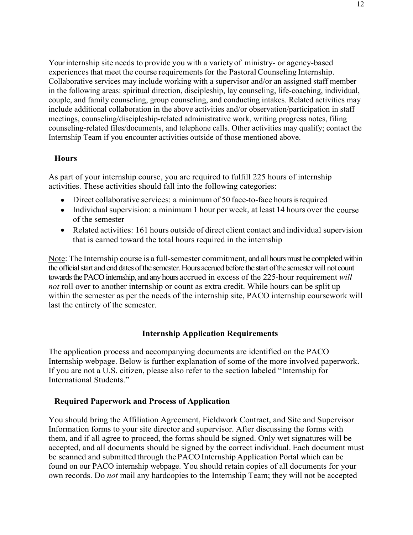Your internship site needs to provide you with a variety of ministry- or agency-based experiences that meet the course requirements for the Pastoral Counseling Internship. Collaborative services may include working with a supervisor and/or an assigned staff member in the following areas: spiritual direction, discipleship, lay counseling, life-coaching, individual, couple, and family counseling, group counseling, and conducting intakes. Related activities may include additional collaboration in the above activities and/or observation/participation in staff meetings, counseling/discipleship-related administrative work, writing progress notes, filing counseling-related files/documents, and telephone calls. Other activities may qualify; contact the Internship Team if you encounter activities outside of those mentioned above.

#### <span id="page-11-0"></span>**Hours**

As part of your internship course, you are required to fulfill 225 hours of internship activities. These activities should fall into the following categories:

- Direct collaborative services: a minimum of 50 face-to-face hours is required
- Individual supervision: a minimum 1 hour per week, at least 14 hours over the course of the semester
- Related activities: 161 hours outside of direct client contact and individual supervision that is earned toward the total hours required in the internship

Note: The Internship course is a full-semester commitment, and all hours must be completed within the official start and end dates of the semester. Hours accrued before the start of the semester will not count towards the PACO internship, and any hours accrued in excess of the 225-hour requirement *will not* roll over to another internship or count as extra credit. While hours can be split up within the semester as per the needs of the internship site, PACO internship coursework will last the entirety of the semester.

# **Internship Application Requirements**

<span id="page-11-1"></span>The application process and accompanying documents are identified on the PACO Internship webpage. Below is further explanation of some of the more involved paperwork. If you are not a U.S. citizen, please also refer to the section labeled "Internship for International Students."

#### <span id="page-11-2"></span>**Required Paperwork and Process of Application**

You should bring the Affiliation Agreement, Fieldwork Contract, and Site and Supervisor Information forms to your site director and supervisor. After discussing the forms with them, and if all agree to proceed, the forms should be signed. Only wet signatures will be accepted, and all documents should be signed by the correct individual. Each document must be scanned and submitted through the PACO Internship Application Portal which can be found on our PACO internship webpage. You should retain copies of all documents for your own records. Do *not* mail any hardcopies to the Internship Team; they will not be accepted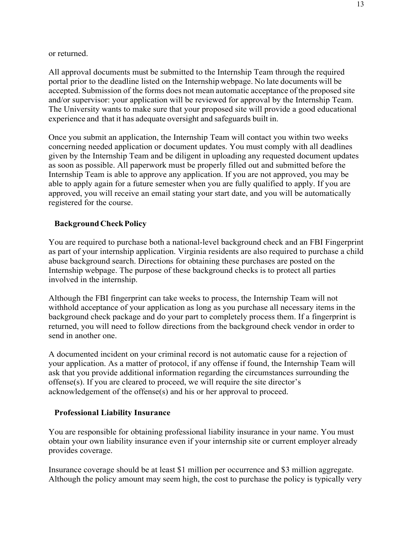or returned.

All approval documents must be submitted to the Internship Team through the required portal prior to the deadline listed on the Internship webpage. No late documents will be accepted. Submission of the forms does not mean automatic acceptance of the proposed site and/or supervisor: your application will be reviewed for approval by the Internship Team. The University wants to make sure that your proposed site will provide a good educational experience and that it has adequate oversight and safeguards built in.

Once you submit an application, the Internship Team will contact you within two weeks concerning needed application or document updates. You must comply with all deadlines given by the Internship Team and be diligent in uploading any requested document updates as soon as possible. All paperwork must be properly filled out and submitted before the Internship Team is able to approve any application. If you are not approved, you may be able to apply again for a future semester when you are fully qualified to apply. If you are approved, you will receive an email stating your start date, and you will be automatically registered for the course.

# <span id="page-12-0"></span>**BackgroundCheckPolicy**

You are required to purchase both a national-level background check and an FBI Fingerprint as part of your internship application. Virginia residents are also required to purchase a child abuse background search. Directions for obtaining these purchases are posted on the Internship webpage. The purpose of these background checks is to protect all parties involved in the internship.

Although the FBI fingerprint can take weeks to process, the Internship Team will not withhold acceptance of your application as long as you purchase all necessary items in the background check package and do your part to completely process them. If a fingerprint is returned, you will need to follow directions from the background check vendor in order to send in another one.

A documented incident on your criminal record is not automatic cause for a rejection of your application. As a matter of protocol, if any offense if found, the Internship Team will ask that you provide additional information regarding the circumstances surrounding the offense(s). If you are cleared to proceed, we will require the site director's acknowledgement of the offense(s) and his or her approval to proceed.

#### <span id="page-12-1"></span>**Professional Liability Insurance**

You are responsible for obtaining professional liability insurance in your name. You must obtain your own liability insurance even if your internship site or current employer already provides coverage.

Insurance coverage should be at least \$1 million per occurrence and \$3 million aggregate. Although the policy amount may seem high, the cost to purchase the policy is typically very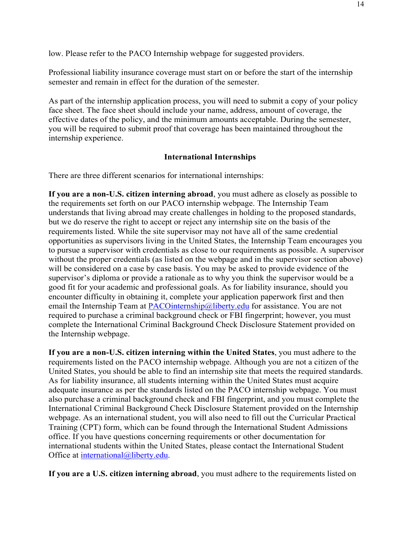low. Please refer to the PACO Internship webpage for suggested providers.

Professional liability insurance coverage must start on or before the start of the internship semester and remain in effect for the duration of the semester.

As part of the internship application process, you will need to submit a copy of your policy face sheet. The face sheet should include your name, address, amount of coverage, the effective dates of the policy, and the minimum amounts acceptable. During the semester, you will be required to submit proof that coverage has been maintained throughout the internship experience.

#### **International Internships**

<span id="page-13-0"></span>There are three different scenarios for international internships:

**If you are a non-U.S. citizen interning abroad**, you must adhere as closely as possible to the requirements set forth on our PACO internship webpage. The Internship Team understands that living abroad may create challenges in holding to the proposed standards, but we do reserve the right to accept or reject any internship site on the basis of the requirements listed. While the site supervisor may not have all of the same credential opportunities as supervisors living in the United States, the Internship Team encourages you to pursue a supervisor with credentials as close to our requirements as possible. A supervisor without the proper credentials (as listed on the webpage and in the supervisor section above) will be considered on a case by case basis. You may be asked to provide evidence of the supervisor's diploma or provide a rationale as to why you think the supervisor would be a good fit for your academic and professional goals. As for liability insurance, should you encounter difficulty in obtaining it, complete your application paperwork first and then email the Internship Team at [PACOinternship@liberty.edu](mailto:PACOinternship@liberty.edu) for assistance. You are not required to purchase a criminal background check or FBI fingerprint; however, you must complete the International Criminal Background Check Disclosure Statement provided on the Internship webpage.

**If you are a non-U.S. citizen interning within the United States**, you must adhere to the requirements listed on the PACO internship webpage. Although you are not a citizen of the United States, you should be able to find an internship site that meets the required standards. As for liability insurance, all students interning within the United States must acquire adequate insurance as per the standards listed on the PACO internship webpage. You must also purchase a criminal background check and FBI fingerprint, and you must complete the International Criminal Background Check Disclosure Statement provided on the Internship webpage. As an international student, you will also need to fill out the Curricular Practical Training (CPT) form, which can be found through the International Student Admissions office. If you have questions concerning requirements or other documentation for international students within the United States, please contact the International Student Office at [international@liberty.edu.](mailto:international@liberty.edu)

**If you are a U.S. citizen interning abroad**, you must adhere to the requirements listed on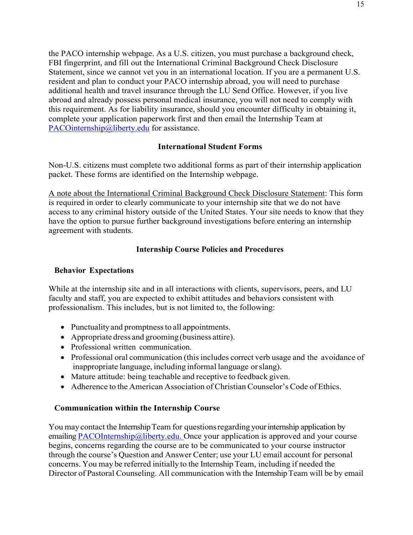the PACO internship webpage. As a U.S. citizen, you must purchase a background check, FBI fingerprint, and fill out the International Criminal Background Check Disclosure Statement, since we cannot vet you in an international location. If you are a permanent U.S. resident and plan to conduct your PACO internship abroad, you will need to purchase additional health and travel insurance through the LU Send Office. However, if you live abroad and already possess personal medical insurance, you will not need to comply with this requirement. As for liability insurance, should you encounter difficulty in obtaining it, complete your application paperwork first and then email the Internship Team at [PACOinternship@liberty.edu](mailto:PACOinternship@liberty.edu) for assistance.

# **International Student Forms**

<span id="page-14-0"></span>Non-U.S. citizens must complete two additional forms as part of their internship application packet. These forms are identified on the Internship webpage.

A note about the International Criminal Background Check Disclosure Statement: This form is required in order to clearly communicate to your internship site that we do not have access to any criminal history outside of the United States. Your site needs to know that they have the option to pursue further background investigations before entering an internship agreement with students.

# **Internship Course Policies and Procedures**

# <span id="page-14-2"></span><span id="page-14-1"></span>**Behavior Expectations**

While at the internship site and in all interactions with clients, supervisors, peers, and LU faculty and staff, you are expected to exhibit attitudes and behaviors consistent with professionalism. This includes, but is not limited to, the following:

- Punctuality and promptness to all appointments.
- Appropriate dress and grooming (business attire).
- Professional written communication.
- Professional oral communication (this includes correct verb usage and the avoidance of inappropriate language, including informal language orslang).
- Mature attitude: being teachable and receptive to feedback given.
- Adherence to the American Association of Christian Counselor's Code of Ethics.

# <span id="page-14-3"></span>**Communication within the Internship Course**

You may contact the Internship Team for questions regarding your internship application by emailin[g PACOInternship@liberty.edu.](mailto:PACOInternship@liberty.edu) Once your application is approved and your course begins, concerns regarding the course are to be communicated to your course instructor through the course's Question and Answer Center; use your LU email account for personal concerns. You may be referred initially to the InternshipTeam, including if needed the Director of Pastoral Counseling. All communication with the Internship Team will be by email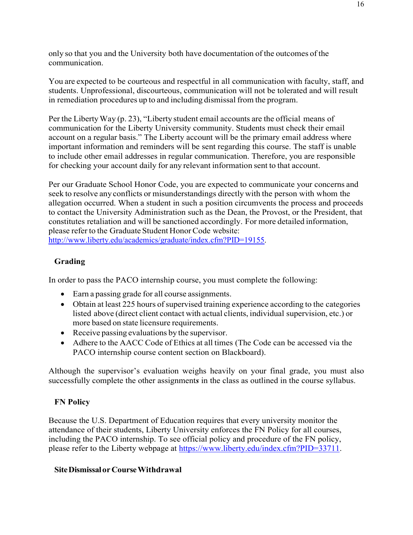only so that you and the University both have documentation of the outcomes of the communication.

You are expected to be courteous and respectful in all communication with faculty, staff, and students. Unprofessional, discourteous, communication will not be tolerated and will result in remediation procedures up to and including dismissal from the program.

Per the Liberty Way (p. 23), "Liberty student email accounts are the official means of communication for the Liberty University community. Students must check their email account on a regular basis." The Liberty account will be the primary email address where important information and reminders will be sent regarding this course. The staff is unable to include other email addresses in regular communication. Therefore, you are responsible for checking your account daily for any relevant information sent to that account.

Per our Graduate School Honor Code, you are expected to communicate your concerns and seek to resolve any conflicts or misunderstandings directly with the person with whom the allegation occurred. When a student in such a position circumvents the process and proceeds to contact the University Administration such as the Dean, the Provost, or the President, that constitutes retaliation and will be sanctioned accordingly. For more detailed information, please refer to the Graduate Student Honor Code website:

[http://www.liberty.edu/academics/graduate/index.cfm?PID=19155.](http://www.liberty.edu/academics/graduate/index.cfm?PID=19155)

# <span id="page-15-0"></span>**Grading**

In order to pass the PACO internship course, you must complete the following:

- Earn a passing grade for all course assignments.
- Obtain at least 225 hours of supervised training experience according to the categories listed above (direct client contact with actual clients, individual supervision, etc.) or more based on state licensure requirements.
- Receive passing evaluations by the supervisor.
- Adhere to the AACC Code of Ethics at all times (The Code can be accessed via the PACO internship course content section on Blackboard).

Although the supervisor's evaluation weighs heavily on your final grade, you must also successfully complete the other assignment*s* in the class as outlined in the course syllabus.

# <span id="page-15-1"></span>**FN Policy**

Because the U.S. Department of Education requires that every university monitor the attendance of their students, Liberty University enforces the FN Policy for all courses, including the PACO internship. To see official policy and procedure of the FN policy, please refer to the Liberty webpage at [https://www.liberty.edu/index.cfm?PID=33711.](https://www.liberty.edu/index.cfm?PID=33711)

# <span id="page-15-2"></span>**SiteDismissalorCourseWithdrawal**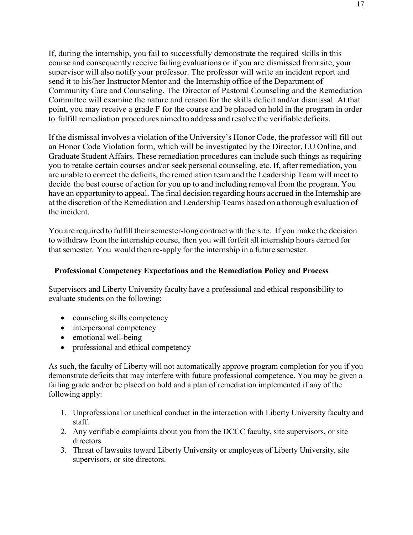If, during the internship, you fail to successfully demonstrate the required skills in this course and consequently receive failing evaluations or if you are dismissed from site, your supervisor will also notify your professor. The professor will write an incident report and send it to his/her Instructor Mentor and the Internship office of the Department of Community Care and Counseling. The Director of Pastoral Counseling and the Remediation Committee will examine the nature and reason for the skills deficit and/or dismissal. At that point, you may receive a grade F for the course and be placed on hold in the program in order to fulfill remediation procedures aimed to address and resolve the verifiable deficits.

If the dismissal involves a violation of the University's Honor Code, the professor will fill out an Honor Code Violation form, which will be investigated by the Director, LU Online, and Graduate Student Affairs. These remediation procedures can include such things as requiring you to retake certain courses and/or seek personal counseling, etc. If, after remediation, you are unable to correct the deficits, the remediation team and the Leadership Team will meet to decide the best course of action for you up to and including removal from the program. You have an opportunity to appeal. The final decision regarding hours accrued in the Internship are at the discretion of the Remediation and Leadership Teams based on a thorough evaluation of the incident.

You are required to fulfill their semester-long contract with the site. If you make the decision to withdraw from the internship course, then you will forfeit all internship hours earned for that semester. You would then re-apply for the internship in a future semester.

# <span id="page-16-0"></span>**Professional Competency Expectations and the Remediation Policy and Process**

Supervisors and Liberty University faculty have a professional and ethical responsibility to evaluate students on the following:

- counseling skills competency
- interpersonal competency
- emotional well-being
- professional and ethical competency

As such, the faculty of Liberty will not automatically approve program completion for you if you demonstrate deficits that may interfere with future professional competence. You may be given a failing grade and/or be placed on hold and a plan of remediation implemented if any of the following apply:

- 1. Unprofessional or unethical conduct in the interaction with Liberty University faculty and staff.
- 2. Any verifiable complaints about you from the DCCC faculty, site supervisors, or site directors.
- 3. Threat of lawsuits toward Liberty University or employees of Liberty University, site supervisors, or site directors.